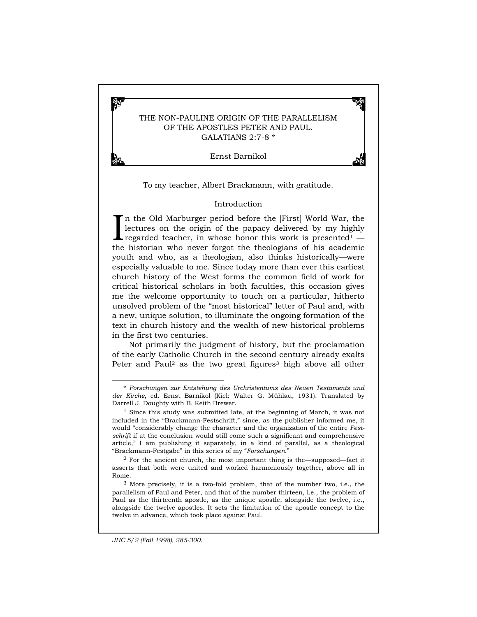# THE NON-PAULINE ORIGIN OF THE PARALLELISM OF THE APOSTLES PETER AND PAUL. GALATIANS 2:7-8 \*

Ernst Barnikol

To my teacher, Albert Brackmann, with gratitude.

### Introduction

In the Old Marburger period before the [First] World War, the lectures on the origin of the papacy delivered by my highly regarded teacher, in whose honor this work is presented<sup>1</sup> lectures on the origin of the papacy delivered by my highly regarded teacher, in whose honor this work is presented<sup>1</sup>  $$ the historian who never forgot the theologians of his academic youth and who, as a theologian, also thinks historically—were especially valuable to me. Since today more than ever this earliest church history of the West forms the common field of work for critical historical scholars in both faculties, this occasion gives me the welcome opportunity to touch on a particular, hitherto unsolved problem of the "most historical" letter of Paul and, with a new, unique solution, to illuminate the ongoing formation of the text in church history and the wealth of new historical problems in the first two centuries.

Not primarily the judgment of history, but the proclamation of the early Catholic Church in the second century already exalts Peter and Paul<sup>2</sup> as the two great figures<sup>3</sup> high above all other

-

Ł,

<sup>\*</sup> *Forschungen zur Entstehung des Urchristentums des Neuen Testaments und der Kirche*, ed. Ernst Barnikol (Kiel: Walter G. Mühlau, 1931). Translated by Darrell J. Doughty with B. Keith Brewer.

<sup>1</sup> Since this study was submitted late, at the beginning of March, it was not included in the "Brackmann-Festschrift," since, as the publisher informed me, it would "considerably change the character and the organization of the entire *Festschrift* if at the conclusion would still come such a significant and comprehensive article," I am publishing it separately, in a kind of parallel, as a theological "Brackmann-Festgabe" in this series of my "*Forschungen*."

 $2$  For the ancient church, the most important thing is the—supposed—fact it asserts that both were united and worked harmoniously together, above all in Rome.

<sup>3</sup> More precisely, it is a two-fold problem, that of the number two, i.e., the parallelism of Paul and Peter, and that of the number thirteen, i.e., the problem of Paul as the thirteenth apostle, as the unique apostle, alongside the twelve, i.e., alongside the twelve apostles. It sets the limitation of the apostle concept to the twelve in advance, which took place against Paul.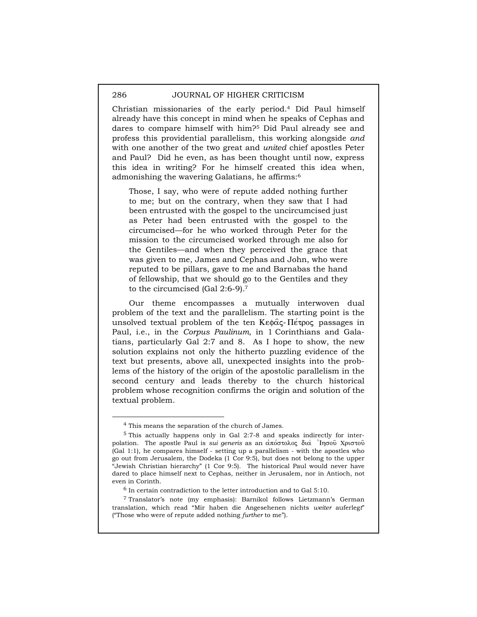Christian missionaries of the early period.4 Did Paul himself already have this concept in mind when he speaks of Cephas and dares to compare himself with him?5 Did Paul already see and profess this providential parallelism, this working alongside *and* with one another of the two great and *united* chief apostles Peter and Paul? Did he even, as has been thought until now, express this idea in writing? For he himself created this idea when, admonishing the wavering Galatians, he affirms:6

Those, I say, who were of repute added nothing further to me; but on the contrary, when they saw that I had been entrusted with the gospel to the uncircumcised just as Peter had been entrusted with the gospel to the circumcised—for he who worked through Peter for the mission to the circumcised worked through me also for the Gentiles—and when they perceived the grace that was given to me, James and Cephas and John, who were reputed to be pillars, gave to me and Barnabas the hand of fellowship, that we should go to the Gentiles and they to the circumcised (Gal 2:6-9).7

Our theme encompasses a mutually interwoven dual problem of the text and the parallelism. The starting point is the unsolved textual problem of the ten  $K \in \mathbb{R}$ e $\alpha$ -He $\tau$ pog passages in Paul, i.e., in the *Corpus Paulinum*, in 1 Corinthians and Galatians, particularly Gal 2:7 and 8. As I hope to show, the new solution explains not only the hitherto puzzling evidence of the text but presents, above all, unexpected insights into the problems of the history of the origin of the apostolic parallelism in the second century and leads thereby to the church historical problem whose recognition confirms the origin and solution of the textual problem.

 <sup>4</sup> This means the separation of the church of James.

<sup>5</sup> This actually happens only in Gal 2:7-8 and speaks indirectly for interpolation. The apostle Paul is *sui generis* as an απόστολος δια <sup>1</sup>Ιησού Χριστού (Gal 1:1), he compares himself - setting up a parallelism - with the apostles who go out from Jerusalem, the Dodeka (1 Cor 9:5), but does not belong to the upper "Jewish Christian hierarchy" (1 Cor 9:5). The historical Paul would never have dared to place himself next to Cephas, neither in Jerusalem, nor in Antioch, not even in Corinth.

 $^6$  In certain contradiction to the letter introduction and to Gal 5:10.

<sup>7</sup> Translator's note (my emphasis): Barnikol follows Lietzmann's German translation, which read "Mir haben die Angesehenen nichts *weiter* auferleg*t*" ("Those who were of repute added nothing *further* to me").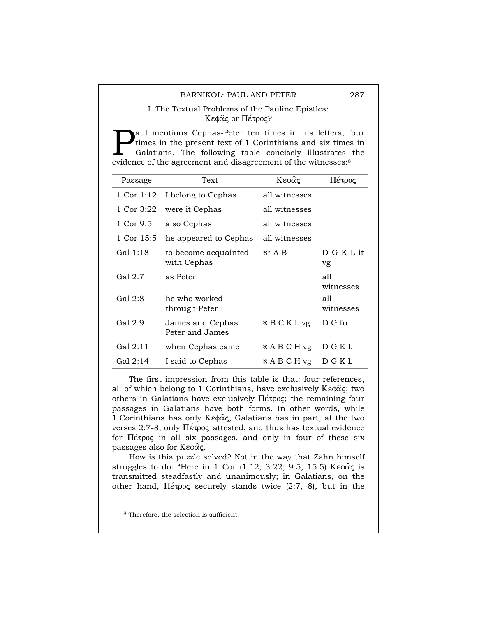## I. The Textual Problems of the Pauline Epistles: Kεφάς or Πέτρος?

aul mentions Cephas-Peter ten times in his letters, four times in the present text of 1 Corinthians and six times in Galatians. The following table concisely illustrates the **Example 18 Exercise 19 Exercise 19 Exercise 19 Exercise 19 Exercise 19 Exercise 19 Extending and six times conditions.** The following table concisely illustrates evidence of the agreement and disagreement of the witnesses

| Passage    | <b>Text</b>                         | Κεφάς               | Πέτρος           |
|------------|-------------------------------------|---------------------|------------------|
| 1 Cor 1:12 | I belong to Cephas                  | all witnesses       |                  |
| 1 Cor 3:22 | were it Cephas                      | all witnesses       |                  |
| 1 Cor 9:5  | also Cephas                         | all witnesses       |                  |
| 1 Cor 15:5 | he appeared to Cephas               | all witnesses       |                  |
| Gal 1:18   | to become acquainted<br>with Cephas | $x^* A B$           | D G K L it<br>vg |
| Gal 2:7    | as Peter                            |                     | all<br>witnesses |
| Gal 2:8    | he who worked<br>through Peter      |                     | all<br>witnesses |
| Gal 2:9    | James and Cephas<br>Peter and James | $R$ B C K L vg      | D G fu           |
| Gal 2:11   | when Cephas came                    | $\kappa$ A B C H vg | D G K L          |
| Gal 2:14   | I said to Cephas                    | $\kappa$ A B C H vg | DGKL             |

The first impression from this table is that: four references, all of which belong to 1 Corinthians, have exclusively  $K \in \mathfrak{g}(\alpha; \mathfrak{g})$  two others in Galatians have exclusively  $\Pi \acute{\epsilon} \tau \rho o \varsigma$ ; the remaining four passages in Galatians have both forms. In other words, while 1 Corinthians has only Ke $\phi\hat{\alpha}$ ς, Galatians has in part, at the two verses 2:7-8, only  $\Pi \neq \infty$  attested, and thus has textual evidence for  $\Pi$ <sub>e</sub>  $\tau$ <sub>po</sub> in all six passages, and only in four of these six passages also for  $K \in \phi \hat{\alpha} \varsigma$ .

How is this puzzle solved? Not in the way that Zahn himself struggles to do: "Here in 1 Cor (1:12; 3:22; 9:5; 15:5)  $K \in \alpha\hat{\alpha}$  is transmitted steadfastly and unanimously; in Galatians, on the other hand,  $\Pi \neq \infty$  securely stands twice (2:7, 8), but in the

 <sup>8</sup> Therefore, the selection is sufficient.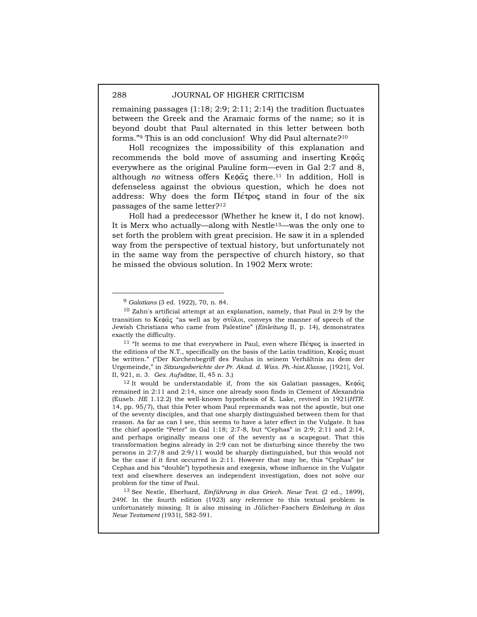remaining passages  $(1:18; 2:9; 2:11; 2:14)$  the tradition fluctuates between the Greek and the Aramaic forms of the name; so it is beyond doubt that Paul alternated in this letter between both forms."9 This is an odd conclusion! Why did Paul alternate?10

Holl recognizes the impossibility of this explanation and recommends the bold move of assuming and inserting  $K \in \mathfrak{g}(\alpha)$ everywhere as the original Pauline form—even in Gal 2:7 and 8, although *no* witness offers  $K \in \mathfrak{g}(\alpha)$  there.<sup>11</sup> In addition, Holl is defenseless against the obvious question, which he does not address: Why does the form  $\Pi$ <sub>e</sub> topog stand in four of the six passages of the same letter?12

Holl had a predecessor (Whether he knew it, I do not know). It is Merx who actually—along with Nestle13—was the only one to set forth the problem with great precision. He saw it in a splended way from the perspective of textual history, but unfortunately not in the same way from the perspective of church history, so that he missed the obvious solution. In 1902 Merx wrote:

<sup>11</sup> "It seems to me that everywhere in Paul, even where  $\Pi \epsilon \infty$  is inserted in the editions of the N.T., specifically on the basis of the Latin tradition,  $K \in \mathbb{R}^d$  must be written." ("Der Kirchenbegriff des Paulus in seinem Verhältnis zu dem der Urgemeinde," in *Sitzungsberichte der Pr. Akad. d. Wiss. Ph.-hist.Klasse*, [1921], Vol. II, 921, n. 3. *Ges. Aufsätze*, II, 45 n. 3.)

<sup>12</sup> It would be understandable if, from the six Galatian passages,  $K \epsilon \phi \hat{\alpha} \zeta$ remained in 2:11 and 2:14, since one already soon finds in Clement of Alexandria (Euseb. *HE* 1.12.2) the well-known hypothesis of K. Lake, revived in 1921(*HTR*. 14, pp. 95/7), that this Peter whom Paul repremands was not the apostle, but one of the seventy disciples, and that one sharply distinguished between them for that reason. As far as can I see, this seems to have a later effect in the Vulgate. It has the chief apostle "Peter" in Gal 1:18; 2:7-8, but "Cephas" in 2:9; 2:11 and 2:14, and perhaps originally means one of the seventy as a scapegoat. That this transformation begins already in 2:9 can not be disturbing since thereby the two persons in 2:7/8 and 2:9/11 would be sharply distinguished, but this would not be the case if it first occurred in 2:11. However that may be, this "Cephas" (or Cephas and his "double") hypothesis and exegesis, whose influence in the Vulgate text and elsewhere deserves an independent investigation, does not solve our problem for the time of Paul.

13 See Nestle, Eberhard, *Einführung in das Griech. Neue Test.* (2 ed., 1899), 249f. In the fourth edition (1923) any reference to this textual problem is unfortunately missing. It is also missing in Jülicher-Faschers *Einleitung in das Neue Testament* (1931), 582-591.

 <sup>9</sup> *Galatians* (3 ed. 1922), 70, n. 84.

<sup>10</sup> Zahn's artificial attempt at an explanation, namely, that Paul in 2:9 by the transition to Ke $\phi$  $\alpha$  "as well as by  $\sigma$  $\hat{\nu}$  $\lambda$ o, conveys the manner of speech of the Jewish Christians who came from Palestine" (*Einleitung* II, p. 14), demonstrates exactly the difficulty.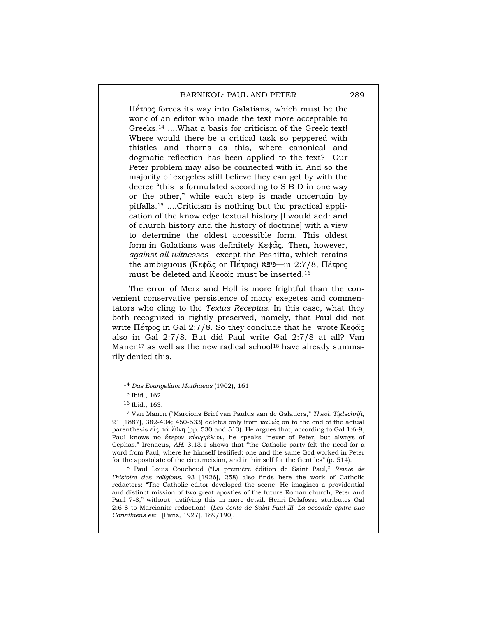$\Pi$ <sub>e</sub> to forces its way into Galatians, which must be the work of an editor who made the text more acceptable to Greeks.14 ....What a basis for criticism of the Greek text! Where would there be a critical task so peppered with thistles and thorns as this, where canonical and dogmatic reflection has been applied to the text? Our Peter problem may also be connected with it. And so the majority of exegetes still believe they can get by with the decree "this is formulated according to S B D in one way or the other," while each step is made uncertain by pitfalls.15 ....Criticism is nothing but the practical application of the knowledge textual history [I would add: and of church history and the history of doctrine] with a view to determine the oldest accessible form. This oldest form in Galatians was definitely  $K \in \alpha$ , Then, however, *against all witnesses*—except the Peshitta, which retains the ambiguous (Κεφάς or Πέτρος)  $\equiv$ -είτρ 2:7/8, Πέτρος must be deleted and  $K \in \mathfrak{g}$  must be inserted.<sup>16</sup>

The error of Merx and Holl is more frightful than the convenient conservative persistence of many exegetes and commentators who cling to the *Textus Receptus*. In this case, what they both recognized is rightly preserved, namely, that Paul did not write  $\Pi$ <sub>e</sub> to  $\varphi$  in Gal 2:7/8. So they conclude that he wrote Ke $\varphi$  $\alpha$ also in Gal 2:7/8. But did Paul write Gal 2:7/8 at all? Van Manen $17$  as well as the new radical school<sup>18</sup> have already summarily denied this.

18 Paul Louis Couchoud ("La première édition de Saint Paul," *Revue de l'histoire des religions*, 93 [1926], 258) also finds here the work of Catholic redactors: "The Catholic editor developed the scene. He imagines a providential and distinct mission of two great apostles of the future Roman church, Peter and Paul 7-8," without justifying this in more detail. Henri Delafosse attributes Gal 2:6-8 to Marcionite redaction! (*Les écrits de Saint Paul III. La seconde épître aus Corinthiens etc.* [Paris, 1927], 189/190).

 <sup>14</sup> *Das Evangelium Matthaeus* (1902), 161.

<sup>15</sup> Ibid., 162.

<sup>16</sup> Ibid., 163.

<sup>17</sup> Van Manen ("Marcions Brief van Paulus aan de Galatiers," *Theol. Tijdschrift*, 21 [1887], 382-404; 450-533) deletes only from  $\kappa \alpha \theta \omega \in \alpha$  on to the end of the actual parenthesis  $\epsilon i\zeta \propto \epsilon^2$  etch (pp. 530 and 513). He argues that, according to Gal 1:6-9, Paul knows no έτερον εύαγγέλιον, he speaks "never of Peter, but always of Cephas." Irenaeus, *AH.* 3.13.1 shows that "the Catholic party felt the need for a word from Paul, where he himself testified: one and the same God worked in Peter for the apostolate of the circumcision, and in himself for the Gentiles" (p. 514).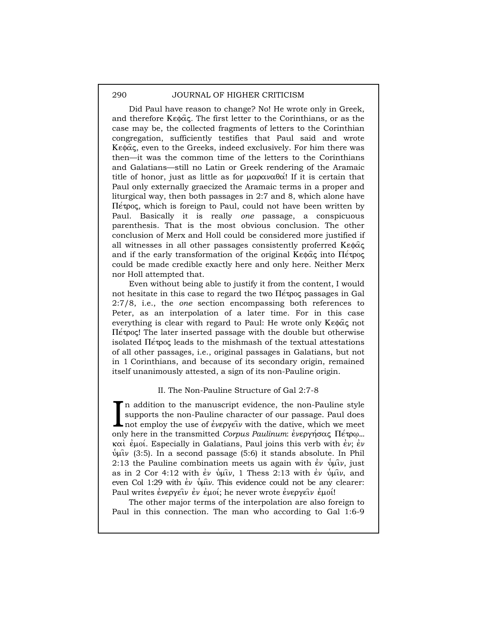Did Paul have reason to change? No! He wrote only in Greek, and therefore  $K \in \mathfrak{g}(\alpha,\zeta)$ . The first letter to the Corinthians, or as the case may be, the collected fragments of letters to the Corinthian congregation, sufficiently testifies that Paul said and wrote  $K \in \mathfrak{g}(\mathfrak{g})$ , even to the Greeks, indeed exclusively. For him there was then—it was the common time of the letters to the Corinthians and Galatians—still no Latin or Greek rendering of the Aramaic title of honor, just as little as for  $\mu \alpha \rho \alpha \nu \alpha \theta \alpha'$ ! If it is certain that Paul only externally graecized the Aramaic terms in a proper and liturgical way, then both passages in 2:7 and 8, which alone have  $\Pi$ <sub>e</sub> trong, which is foreign to Paul, could not have been written by Paul. Basically it is really *one* passage, a conspicuous parenthesis. That is the most obvious conclusion. The other conclusion of Merx and Holl could be considered more justified if all witnesses in all other passages consistently proferred  $K \in \mathfrak{g} \hat{\alpha} \in \mathfrak{g}$ and if the early transformation of the original  $K \in \mathfrak{g}(\alpha)$  into  $\Pi \in \mathfrak{g}(\alpha)$ could be made credible exactly here and only here. Neither Merx nor Holl attempted that.

Even without being able to justify it from the content, I would not hesitate in this case to regard the two  $\Pi$ <sub>e</sub> polynogies in Gal 2:7/8, i.e., the *one* section encompassing both references to Peter, as an interpolation of a later time. For in this case everything is clear with regard to Paul: He wrote only  $K \in \mathfrak{g}(\alpha)$  not  $\Pi$ <sub>e</sub>  $\sigma$ . The later inserted passage with the double but otherwise isolated  $\Pi$ <sub>e</sub> t<sub>ropi</sub> leads to the mishmash of the textual attestations of all other passages, i.e., original passages in Galatians, but not in 1 Corinthians, and because of its secondary origin, remained itself unanimously attested, a sign of its non-Pauline origin.

### II. The Non-Pauline Structure of Gal 2:7-8

n addition to the manuscript evidence, the non-Pauline style supports the non-Pauline character of our passage. Paul does In addition to the manuscript evidence, the non-Pauline style<br>supports the non-Pauline character of our passage. Paul does<br>not employ the use of everyofiv with the dative, which we meet<br>only here in the transmitted Carry e only here in the transmitted *Corpus Paulinum*:  $\epsilon v \epsilon \rho \gamma \gamma \sigma \alpha \zeta$  II $\epsilon \tau \rho \omega$ ...  $\kappa\alpha\tilde{\iota}$  endomonically in Galatians, Paul joins this verb with evaluated evaluated values  $\psi$  $\hat{\mu}\nu$  (3:5). In a second passage (5:6) it stands absolute. In Phil 2:13 the Pauline combination meets us again with  $\dot{\epsilon}v$   $\dot{\psi}\psi$ , just as in 2 Cor 4:12 with  $\epsilon \nu$   $\psi$  up 1, 1 Thess 2:13 with  $\epsilon \nu$   $\psi$  up  $\nu$ , and even Col 1:29 with  $\epsilon \nu$  pulv. This evidence could not be any clearer: Paul writes evepy $\epsilon \nu$  ev encot; he never wrote evepy $\epsilon \nu$  encol!

The other major terms of the interpolation are also foreign to Paul in this connection. The man who according to Gal 1:6-9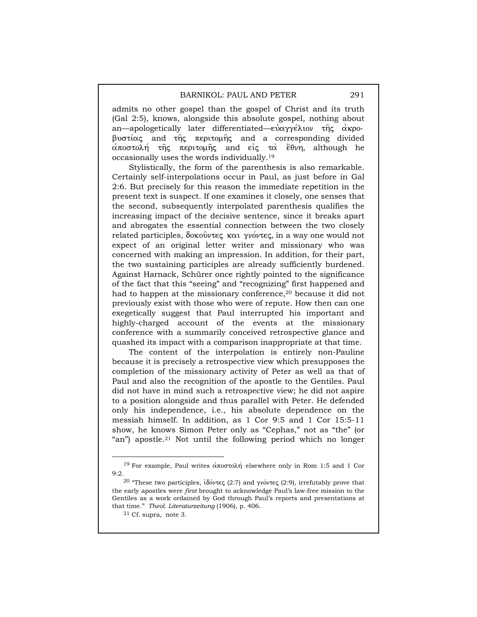admits no other gospel than the gospel of Christ and its truth (Gal 2:5), knows, alongside this absolute gospel, nothing about an—apologetically later differentiated—εύαγγέλιον της ακρο- $\beta$ υστίας and της περιτομής and a corresponding divided a0postolh/ th=j peritomh=j and ei0j ta\ e1qnh, although he occasionally uses the words individually.19

Stylistically, the form of the parenthesis is also remarkable. Certainly self-interpolations occur in Paul, as just before in Gal 2:6. But precisely for this reason the immediate repetition in the present text is suspect. If one examines it closely, one senses that the second, subsequently interpolated parenthesis qualifies the increasing impact of the decisive sentence, since it breaks apart and abrogates the essential connection between the two closely related participles,  $\delta$  okov $\nu$ τες και γνόντες, in a way one would not expect of an original letter writer and missionary who was concerned with making an impression. In addition, for their part, the two sustaining participles are already sufficiently burdened. Against Harnack, Schürer once rightly pointed to the significance of the fact that this "seeing" and "recognizing" first happened and had to happen at the missionary conference,20 because it did not previously exist with those who were of repute. How then can one exegetically suggest that Paul interrupted his important and highly-charged account of the events at the missionary conference with a summarily conceived retrospective glance and quashed its impact with a comparison inappropriate at that time.

The content of the interpolation is entirely non-Pauline because it is precisely a retrospective view which presupposes the completion of the missionary activity of Peter as well as that of Paul and also the recognition of the apostle to the Gentiles. Paul did not have in mind such a retrospective view; he did not aspire to a position alongside and thus parallel with Peter. He defended only his independence, i.e., his absolute dependence on the messiah himself. In addition, as 1 Cor 9:5 and 1 Cor 15:5-11 show, he knows Simon Peter only as "Cephas," not as "the" (or "an") apostle.21 Not until the following period which no longer

<sup>&</sup>lt;sup>19</sup> For example, Paul writes αποστολή elsewhere only in Rom 1:5 and 1 Cor 9:2.

<sup>&</sup>lt;sup>20</sup> "These two participles, ιδόντες (2:7) and γνόντες (2:9), irrefutably prove that the early apostles were *first* brought to acknowledge Paul's law-free mission to the Gentiles as a work ordained by God through Paul's reports and presentations at that time." *Theol. Literaturzeitung* (1906), p. 406.

<sup>21</sup> Cf. supra*,* note 3.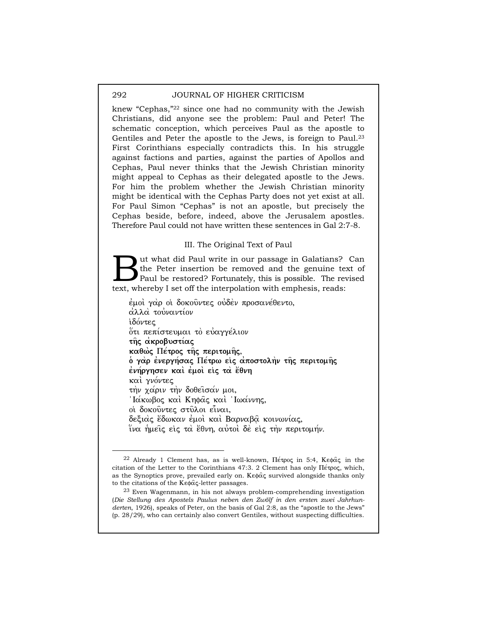knew "Cephas,"22 since one had no community with the Jewish Christians, did anyone see the problem: Paul and Peter! The schematic conception, which perceives Paul as the apostle to Gentiles and Peter the apostle to the Jews, is foreign to Paul.23 First Corinthians especially contradicts this. In his struggle against factions and parties, against the parties of Apollos and Cephas, Paul never thinks that the Jewish Christian minority might appeal to Cephas as their delegated apostle to the Jews. For him the problem whether the Jewish Christian minority might be identical with the Cephas Party does not yet exist at all. For Paul Simon "Cephas" is not an apostle, but precisely the Cephas beside, before, indeed, above the Jerusalem apostles. Therefore Paul could not have written these sentences in Gal 2:7-8.

## III. The Original Text of Paul

ut what did Paul write in our passage in Galatians? Can the Peter insertion be removed and the genuine text of Paul be restored? Fortunately, this is possible. The revised I set off the Indians?<br>
The Peter insertion be removed and the genuine text, whereby I set off the interpolation with emphesis, reads:

 $\dot{\epsilon}$ μοί γ $\dot{\alpha}$ ρ οί δοκούντες ούδεν προσανέθεντο, αλλα τουναντίον ιδόντες ότι πεπίστευμαι το εύαγγέλιον **της ακροβυστίας καθώς Πέτρος της περιτομής, o** γαρ ενεργήσας Πέτρω εις αποστολην της περιτομής **ένήργησεν καὶ ἐμοὶ εἰς τα ἔθνη** και γνόντες την χάριν την δοθείσαν μοι, Iακωβος και Κηφας και Ιωαννης, oi δοκούντες στύλοι είναι, δεξιάς έδωκαν εμοί και Βαρναβα κοινωνίας, ίνα ήμεις είς τα έθνη, αύτοι δε είς την περιτομήν.

<sup>&</sup>lt;sup>22</sup> Already 1 Clement has, as is well-known, Πέτρος in 5:4, Κεφάς in the citation of the Letter to the Corinthians 47:3. 2 Clement has only  $\Pi \acute{\epsilon} \tau \rho o \varsigma$ , which, as the Synoptics prove, prevailed early on. Ke $\phi\hat{\alpha}$  survived alongside thanks only to the citations of the  $K \in \mathcal{R}$ <sub>c</sub>-letter passages.

<sup>23</sup> Even Wagenmann, in his not always problem-comprehending investigation (*Die Stellung des Apostels Paulus neben den Zwölf in den ersten zwei Jahrhunderten*, 1926), speaks of Peter, on the basis of Gal 2:8, as the "apostle to the Jews" (p. 28/29), who can certainly also convert Gentiles, without suspecting difficulties.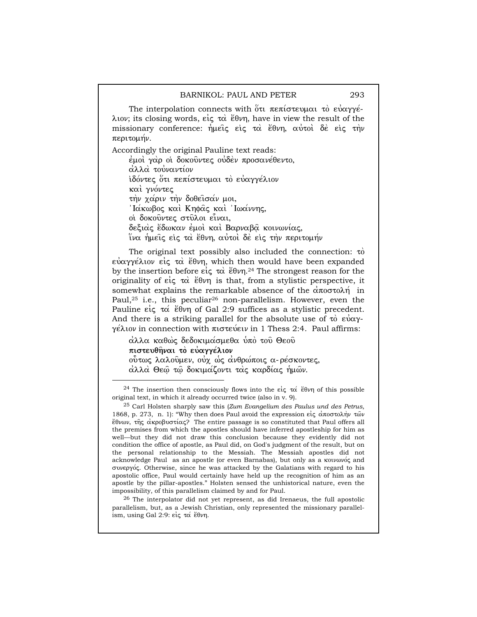The interpolation connects with  $\tilde{\phi}$   $\tilde{\alpha}$   $\tilde{\alpha}$   $\tilde{\alpha}$   $\tilde{\alpha}$   $\tilde{\alpha}$   $\tilde{\alpha}$   $\tilde{\alpha}$  $\gamma$  $\gamma$  $\tilde{\beta}$ λιον; its closing words, είς τα έθνη, have in view the result of the missionary conference:  $\eta\mu\epsilon\hat{i}\zeta$   $\epsilon\hat{i}\zeta$   $\tau\alpha\hat{i}$  έθνη, αυντοί δε είς την περιτομήν.

Accordingly the original Pauline text reads:

έμοι γαρ οι δοκούντες ούδεν προσανέθεντο, αλλα τουναντίον iδόντες ότι πεπίστευμαι το εύαγγέλιον και γνόντες την χαριν την δοθείσαν μοι, <u>Ιακωβος και</u> Κηφας και Ιωαννης, oi δοκούντες στύλοι είναι, δεξιάς έδωκαν εμοί και Βαρναβα κοινωνίας, ίνα ήμεις είς τα έθνη, αυτοί δε είς την περιτομήν

The original text possibly also included the connection:  $\tau$ ò  $\epsilon\dot{\alpha}\gamma\epsilon\dot{\alpha}$  is  $\epsilon\dot{\alpha}$  and  $\epsilon\dot{\beta}$  is the then would have been expanded by the insertion before  $\epsilon i\varsigma \tau \alpha$  έθνη.<sup>24</sup> The strongest reason for the originality of  $\epsilon i\epsilon \propto \epsilon^2\theta\nu\eta$  is that, from a stylistic perspective, it somewhat explains the remarkable absence of the  $\alpha\pi$ Paul,<sup>25</sup> i.e., this peculiar<sup>26</sup> non-parallelism. However, even the Pauline  $\epsilon i\zeta \tau \alpha'$   $\epsilon \theta \nu \eta$  of Gal 2:9 suffices as a stylistic precedent. And there is a striking parallel for the absolute use of  $\tau_0$   $\epsilon\dot{\gamma}\alpha\gamma$ - $\gamma$ έλιον in connection with πιστεύειν in 1 Thess 2:4. Paul affirms:

aλλα καθώς δεδοκιμασμεθα υπο του Θεου  $\pi$ ιστευθήναι το εύαγγέλιον ούτως λαλούμεν, ούχ ώς ανθρώποις α-ρέσκοντες, αλλα Θεώ τω δοκιμαζοντι τας καρδίας ήμων.

 $26$  The interpolator did not yet represent, as did Irenaeus, the full apostolic parallelism, but, as a Jewish Christian, only represented the missionary parallelism, using Gal 2:9: είς τα έθνη.

<sup>&</sup>lt;sup>24</sup> The insertion then consciously flows into the  $\epsilon i\zeta \tau \alpha'$  equilibrium of this possible original text, in which it already occurred twice (also in v. 9).

<sup>25</sup> Carl Holsten sharply saw this (*Zum Evangelium des Paulus und des Petrus*, 1868, p. 273, n. 1): "Why then does Paul avoid the expression  $\epsilon_0 \dot{\alpha} \alpha_0 \dot{\alpha} \dot{\alpha}$ έθνων, της ακροβυστίας? The entire passage is so constituted that Paul offers all the premises from which the apostles should have inferred apostleship for him as well—but they did not draw this conclusion because they evidently did not condition the office of apostle, as Paul did, on God's judgment of the result, but on the personal relationship to the Messiah. The Messiah apostles did not acknowledge Paul as an apostle (or even Barnabas), but only as a kouvovoc and  $\sigma$  over  $\rho$  is. Otherwise, since he was attacked by the Galatians with regard to his apostolic office, Paul would certainly have held up the recognition of him as an apostle by the pillar-apostles." Holsten sensed the unhistorical nature, even the impossibility, of this parallelism claimed by and for Paul.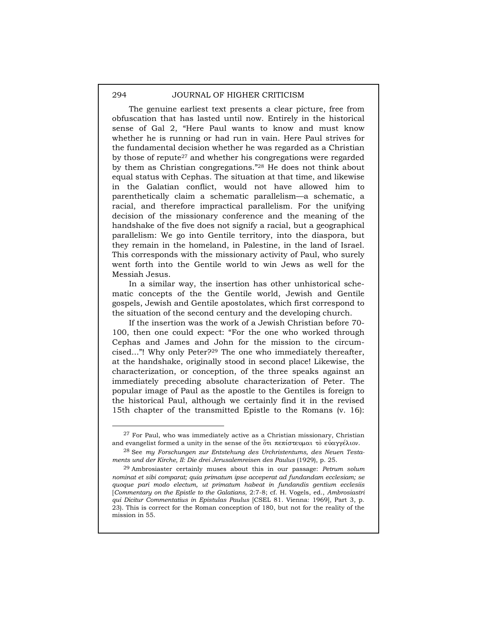The genuine earliest text presents a clear picture, free from obfuscation that has lasted until now. Entirely in the historical sense of Gal 2, "Here Paul wants to know and must know whether he is running or had run in vain. Here Paul strives for the fundamental decision whether he was regarded as a Christian by those of repute27 and whether his congregations were regarded by them as Christian congregations."28 He does not think about equal status with Cephas. The situation at that time, and likewise in the Galatian conflict, would not have allowed him to parenthetically claim a schematic parallelism—a schematic, a racial, and therefore impractical parallelism. For the unifying decision of the missionary conference and the meaning of the handshake of the five does not signify a racial, but a geographical parallelism: We go into Gentile territory, into the diaspora, but they remain in the homeland, in Palestine, in the land of Israel. This corresponds with the missionary activity of Paul, who surely went forth into the Gentile world to win Jews as well for the Messiah Jesus.

In a similar way, the insertion has other unhistorical schematic concepts of the the Gentile world, Jewish and Gentile gospels, Jewish and Gentile apostolates, which first correspond to the situation of the second century and the developing church.

If the insertion was the work of a Jewish Christian before 70- 100, then one could expect: "For the one who worked through Cephas and James and John for the mission to the circumcised..."! Why only Peter?29 The one who immediately thereafter, at the handshake, originally stood in second place! Likewise, the characterization, or conception, of the three speaks against an immediately preceding absolute characterization of Peter. The popular image of Paul as the apostle to the Gentiles is foreign to the historical Paul, although we certainly find it in the revised 15th chapter of the transmitted Epistle to the Romans (v. 16):

 $27$  For Paul, who was immediately active as a Christian missionary, Christian and evangelist formed a unity in the sense of the  $\overset{\circ}{\sigma}\tau$   $\tau$   $\tau$   $\tau$   $\sigma$   $\tau$   $\gamma$   $\epsilon$   $\lambda$  $\tau$  $\sigma$ .

<sup>28</sup> See *my Forschungen zur Entstehung des Urchristentums, des Neuen Testaments und der Kirche, II: Die drei Jerusalemreisen des Paulus* (1929), p. 25.

<sup>29</sup> Ambrosiaster certainly muses about this in our passage: *Petrum solum nominat et sibi comparat; quia primatum ipse acceperat ad fundandam ecclesiam; se quoque pari modo electum, ut primatum habeat in fundandis gentium ecclesiis* [*Commentary on the Epistle to the Galatians*, 2:7-8; cf. H. Vogels, ed., *Ambrosiastri qui Dicitur Commentatius in Epistulas Paulus* [CSEL 81. Vienna: 1969], Part 3, p. 23). This is correct for the Roman conception of 180, but not for the reality of the mission in 55.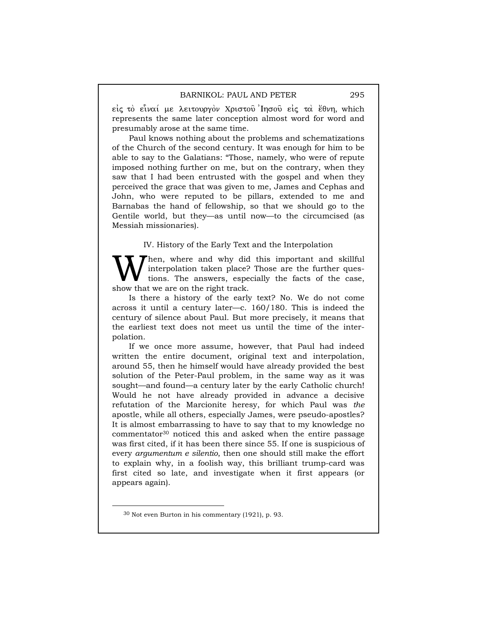$\epsilon$ iς τὸ εἶναί με λειτουργὸν Χριστοῦ Ἰησοῦ εἰς τα ἔθνη, which represents the same later conception almost word for word and presumably arose at the same time.

Paul knows nothing about the problems and schematizations of the Church of the second century. It was enough for him to be able to say to the Galatians: "Those, namely, who were of repute imposed nothing further on me, but on the contrary, when they saw that I had been entrusted with the gospel and when they perceived the grace that was given to me, James and Cephas and John, who were reputed to be pillars, extended to me and Barnabas the hand of fellowship, so that we should go to the Gentile world, but they—as until now—to the circumcised (as Messiah missionaries).

### IV. History of the Early Text and the Interpolation

hen, where and why did this important and skillful interpolation taken place? Those are the further questions. The answers, especially the facts of the case, **W** interpolation taken place?<br>show that we are on the right track.

Is there a history of the early text? No. We do not come across it until a century later—c. 160/180. This is indeed the century of silence about Paul. But more precisely, it means that the earliest text does not meet us until the time of the interpolation.

If we once more assume, however, that Paul had indeed written the entire document, original text and interpolation, around 55, then he himself would have already provided the best solution of the Peter-Paul problem, in the same way as it was sought—and found—a century later by the early Catholic church! Would he not have already provided in advance a decisive refutation of the Marcionite heresy, for which Paul was *the* apostle, while all others, especially James, were pseudo-apostles? It is almost embarrassing to have to say that to my knowledge no  ${\rm commentator}^{30}$  noticed this and asked when the entire passage was first cited, if it has been there since 55. If one is suspicious of every *argumentum e silentio*, then one should still make the effort to explain why, in a foolish way, this brilliant trump-card was first cited so late, and investigate when it first appears (or appears again).

 <sup>30</sup> Not even Burton in his commentary (1921), p. 93.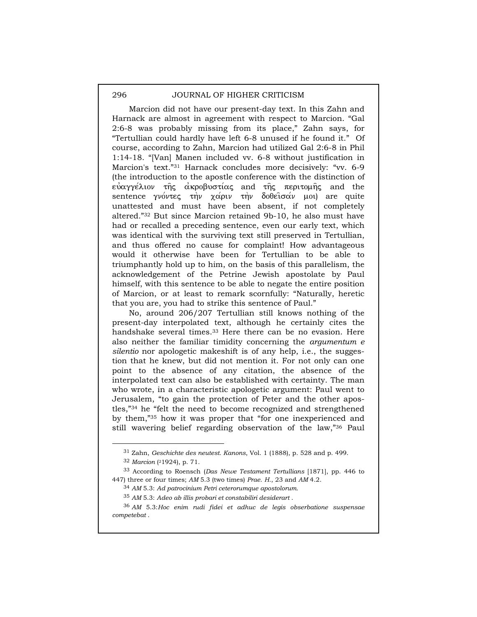Marcion did not have our present-day text. In this Zahn and Harnack are almost in agreement with respect to Marcion. "Gal 2:6-8 was probably missing from its place," Zahn says, for "Tertullian could hardly have left 6-8 unused if he found it." Of course, according to Zahn, Marcion had utilized Gal 2:6-8 in Phil 1:14-18. "[Van] Manen included vv. 6-8 without justification in Marcion's text."31 Harnack concludes more decisively: "vv. 6-9 (the introduction to the apostle conference with the distinction of  $\epsilon$ υαγγέλιον της ακροβυστίας and της περιτομης and the sentence γνόντες την χαριν την δοθείσαν μοι) are quite unattested and must have been absent, if not completely altered."32 But since Marcion retained 9b-10, he also must have had or recalled a preceding sentence, even our early text, which was identical with the surviving text still preserved in Tertullian, and thus offered no cause for complaint! How advantageous would it otherwise have been for Tertullian to be able to triumphantly hold up to him, on the basis of this parallelism, the acknowledgement of the Petrine Jewish apostolate by Paul himself, with this sentence to be able to negate the entire position of Marcion, or at least to remark scornfully: "Naturally, heretic that you are, you had to strike this sentence of Paul."

No, around 206/207 Tertullian still knows nothing of the present-day interpolated text, although he certainly cites the handshake several times.33 Here there can be no evasion. Here also neither the familiar timidity concerning the *argumentum e silentio* nor apologetic makeshift is of any help, i.e., the suggestion that he knew, but did not mention it. For not only can one point to the absence of any citation, the absence of the interpolated text can also be established with certainty. The man who wrote, in a characteristic apologetic argument: Paul went to Jerusalem, "to gain the protection of Peter and the other apostles,"34 he "felt the need to become recognized and strengthened by them,"35 how it was proper that "for one inexperienced and still wavering belief regarding observation of the law,"36 Paul

 <sup>31</sup> Zahn, *Geschichte des neutest. Kanons*, Vol. 1 (1888), p. 528 and p. 499.

<sup>32</sup> *Marcion* (21924), p. 71.

<sup>33</sup> According to Roensch (*Das Newe Testament Tertullians* [1871], pp. 446 to 447) three or four times; *AM* 5.3 (two times) *Prae*. *H.*, 23 and *AM* 4.2.

<sup>34</sup> *AM* 5.3: *Ad patrocinium Petri ceterorumque apostolorum*.

<sup>35</sup> *AM* 5.3: *Adeo ab illis probari et constabiliri desiderart* .

<sup>36</sup> *AM* 5.3:*Hoc enim rudi fidei et adhuc de legis obserbatione suspensae competebat* .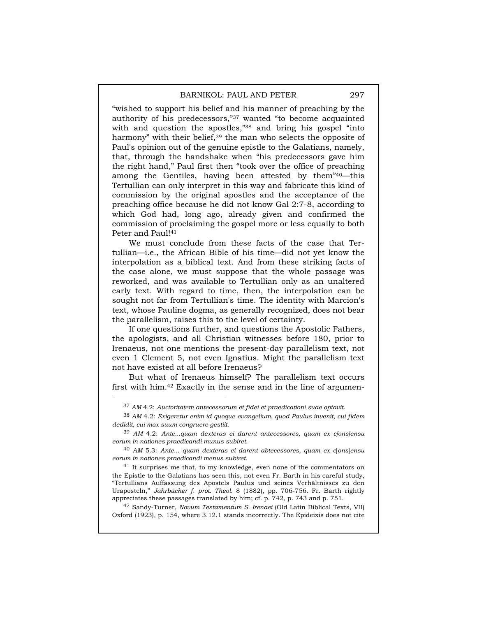"wished to support his belief and his manner of preaching by the authority of his predecessors,"37 wanted "to become acquainted with and question the apostles,"38 and bring his gospel "into harmony" with their belief,<sup>39</sup> the man who selects the opposite of Paul's opinion out of the genuine epistle to the Galatians, namely, that, through the handshake when "his predecessors gave him the right hand," Paul first then "took over the office of preaching among the Gentiles, having been attested by them"40—this Tertullian can only interpret in this way and fabricate this kind of commission by the original apostles and the acceptance of the preaching office because he did not know Gal 2:7-8, according to which God had, long ago, already given and confirmed the commission of proclaiming the gospel more or less equally to both Peter and Paul!<sup>41</sup>

We must conclude from these facts of the case that Tertullian—i.e., the African Bible of his time—did not yet know the interpolation as a biblical text. And from these striking facts of the case alone, we must suppose that the whole passage was reworked, and was available to Tertullian only as an unaltered early text. With regard to time, then, the interpolation can be sought not far from Tertullian's time. The identity with Marcion's text, whose Pauline dogma, as generally recognized, does not bear the parallelism, raises this to the level of certainty.

If one questions further, and questions the Apostolic Fathers, the apologists, and all Christian witnesses before 180, prior to Irenaeus, not one mentions the present-day parallelism text, not even 1 Clement 5, not even Ignatius. Might the parallelism text not have existed at all before Irenaeus?

But what of Irenaeus himself? The parallelism text occurs first with him.42 Exactly in the sense and in the line of argumen-

42 Sandy-Turner, *Novum Testamentum S. Irenaei* (Old Latin Biblical Texts, VII) Oxford (1923), p. 154, where 3.12.1 stands incorrectly. The Epideixis does not cite

 <sup>37</sup> *AM* 4.2: *Auctoritatem antecessorum et fidei et praedicationi suae optavit*.

<sup>38</sup> *AM* 4.2: *Exigeretur enim id quoque evangelium, quod Paulus invenit, cui fidem dedidit, cui mox suum congruere gestiit*.

<sup>39</sup> *AM* 4.2: *Ante...quam dexteras ei darent antecessores, quam ex c[ons]ensu eorum in nationes praedicandi munus subiret*.

<sup>40</sup> *AM* 5.3: *Ante... quam dexteras ei darent abtecessores, quam ex c*[*ons*]*ensu eorum in nationes praedicandi menus subiret*.

 $^{\rm 41}$  It surprises me that, to my knowledge, even none of the commentators on the Epistle to the Galatians has seen this, not even Fr. Barth in his careful study, "Tertullians Auffassung des Apostels Paulus und seines Verhältnisses zu den Uraposteln," *Jahrbücher f. prot. Theol.* 8 (1882), pp. 706-756. Fr. Barth rightly appreciates these passages translated by him; cf. p. 742, p. 743 and p. 751.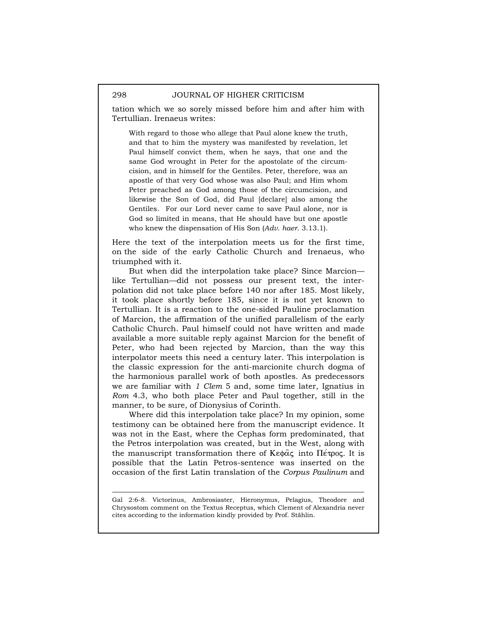tation which we so sorely missed before him and after him with Tertullian. Irenaeus writes:

With regard to those who allege that Paul alone knew the truth, and that to him the mystery was manifested by revelation, let Paul himself convict them, when he says, that one and the same God wrought in Peter for the apostolate of the circumcision, and in himself for the Gentiles. Peter, therefore, was an apostle of that very God whose was also Paul; and Him whom Peter preached as God among those of the circumcision, and likewise the Son of God, did Paul [declare] also among the Gentiles. For our Lord never came to save Paul alone, nor is God so limited in means, that He should have but one apostle who knew the dispensation of His Son (*Adv*. *haer*. 3.13.1).

Here the text of the interpolation meets us for the first time, on the side of the early Catholic Church and Irenaeus, who triumphed with it.

But when did the interpolation take place? Since Marcion like Tertullian—did not possess our present text, the interpolation did not take place before 140 nor after 185. Most likely, it took place shortly before 185, since it is not yet known to Tertullian. It is a reaction to the one-sided Pauline proclamation of Marcion, the affirmation of the unified parallelism of the early Catholic Church. Paul himself could not have written and made available a more suitable reply against Marcion for the benefit of Peter, who had been rejected by Marcion, than the way this interpolator meets this need a century later. This interpolation is the classic expression for the anti-marcionite church dogma of the harmonious parallel work of both apostles. As predecessors we are familiar with *1 Clem* 5 and, some time later, Ignatius in *Rom* 4.3, who both place Peter and Paul together, still in the manner, to be sure, of Dionysius of Corinth.

Where did this interpolation take place? In my opinion, some testimony can be obtained here from the manuscript evidence. It was not in the East, where the Cephas form predominated, that the Petros interpolation was created, but in the West, along with the manuscript transformation there of  $K \in \mathfrak{g}_{\alpha}$  into  $\Pi \in \mathfrak{p}_{\alpha}$ . It is possible that the Latin Petros-sentence was inserted on the occasion of the first Latin translation of the *Corpus Paulinum* and

Gal 2:6-8. Victorinus, Ambrosiaster, Hieronymus, Pelagius, Theodore and Chrysostom comment on the Textus Receptus, which Clement of Alexandria never cites according to the information kindly provided by Prof. Stählin.

l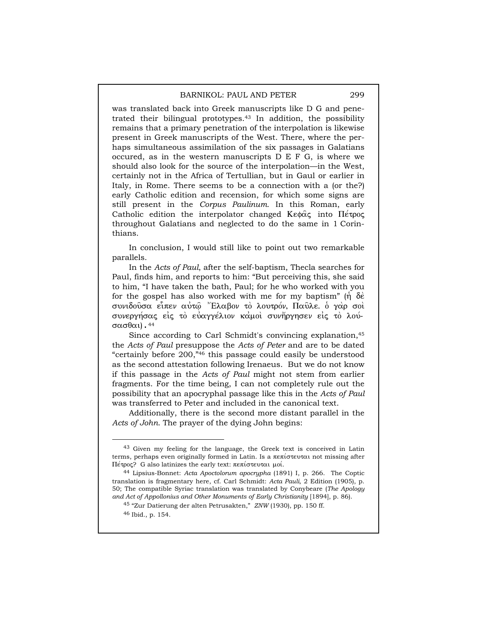was translated back into Greek manuscripts like D G and penetrated their bilingual prototypes.43 In addition, the possibility remains that a primary penetration of the interpolation is likewise present in Greek manuscripts of the West. There, where the perhaps simultaneous assimilation of the six passages in Galatians occured, as in the western manuscripts D E F G, is where we should also look for the source of the interpolation—in the West, certainly not in the Africa of Tertullian, but in Gaul or earlier in Italy, in Rome. There seems to be a connection with a (or the?) early Catholic edition and recension, for which some signs are still present in the *Corpus Paulinum*. In this Roman, early Catholic edition the interpolator changed Ke $\phi$  $\alpha$  into  $\Pi$ <sub>e</sub> topog throughout Galatians and neglected to do the same in 1 Corinthians.

In conclusion, I would still like to point out two remarkable parallels.

In the *Acts of Paul*, after the self-baptism, Thecla searches for Paul, finds him, and reports to him: "But perceiving this, she said to him, "I have taken the bath, Paul; for he who worked with you for the gospel has also worked with me for my baptism" ( $\eta \delta \hat{\epsilon}$ ) συνιδούσα είπεν αύτω "Έλαβον το λουτρόν, Παύλε. ο γαρ σοί συνεργήσας είς τὸ εὐαγγέλιον καμοὶ συνἤργησεν εἰς τὸ λούσασθαι).  $44$ 

Since according to Carl Schmidt's convincing explanation,<sup>45</sup> the *Acts of Paul* presuppose the *Acts of Peter* and are to be dated "certainly before 200,"46 this passage could easily be understood as the second attestation following Irenaeus. But we do not know if this passage in the *Acts of Paul* might not stem from earlier fragments. For the time being, I can not completely rule out the possibility that an apocryphal passage like this in the *Acts of Paul* was transferred to Peter and included in the canonical text.

Additionally, there is the second more distant parallel in the *Acts of John*. The prayer of the dying John begins:

<sup>&</sup>lt;sup>43</sup> Given my feeling for the language, the Greek text is conceived in Latin terms, perhaps even originally formed in Latin. Is a  $\pi \epsilon \pi i \sigma \tau$  at missing after  $\Pi$ έτρος? G also latinizes the early text: πεπίστευται μοί.

<sup>44</sup> Lipsius-Bonnet: *Acta Apoctolorum apocrypha* (1891) I, p. 266. The Coptic translation is fragmentary here, cf. Carl Schmidt: *Acta Pauli*, 2 Edition (1905), p. 50; The compatible Syriac translation was translated by Conybeare (*The Apology and Act of Appollonius and Other Monuments of Early Christianity* [1894], p. 86).

<sup>45 &</sup>quot;Zur Datierung der alten Petrusakten," *ZNW* (1930), pp. 150 ff.

<sup>46</sup> Ibid., p. 154.